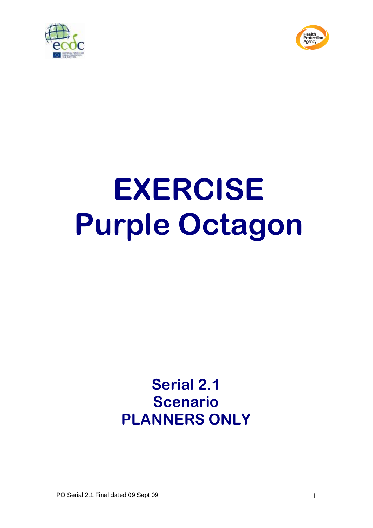



# **EXERCISE Purple Octagon**

# **Serial 2.1 Scenario PLANNERS ONLY**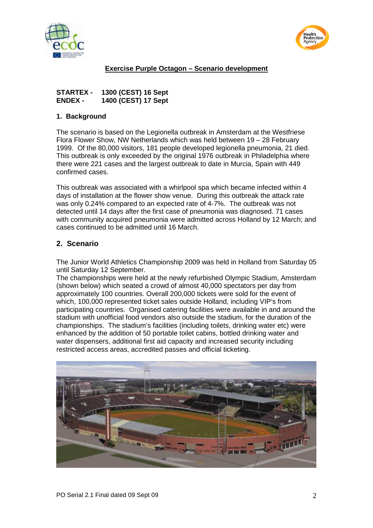



## **Exercise Purple Octagon – Scenario development**

| STARTEX -      | 1300 (CEST) 16 Sept |
|----------------|---------------------|
| <b>ENDEX -</b> | 1400 (CEST) 17 Sept |

#### **1. Background**

The scenario is based on the Legionella outbreak in Amsterdam at the Westfriese Flora Flower Show, NW Netherlands which was held between 19 – 28 February 1999. Of the 80,000 visitors, 181 people developed legionella pneumonia, 21 died. This outbreak is only exceeded by the original 1976 outbreak in Philadelphia where there were 221 cases and the largest outbreak to date in Murcia, Spain with 449 confirmed cases.

This outbreak was associated with a whirlpool spa which became infected within 4 days of installation at the flower show venue. During this outbreak the attack rate was only 0.24% compared to an expected rate of 4-7%. The outbreak was not detected until 14 days after the first case of pneumonia was diagnosed. 71 cases with community acquired pneumonia were admitted across Holland by 12 March; and cases continued to be admitted until 16 March.

### **2. Scenario**

The Junior World Athletics Championship 2009 was held in Holland from Saturday 05 until Saturday 12 September.

The championships were held at the newly refurbished Olympic Stadium, Amsterdam (shown below) which seated a crowd of almost 40,000 spectators per day from approximately 100 countries. Overall 200,000 tickets were sold for the event of which, 100,000 represented ticket sales outside Holland, including VIP's from participating countries. Organised catering facilities were available in and around the stadium with unofficial food vendors also outside the stadium, for the duration of the championships. The stadium's facilities (including toilets, drinking water etc) were enhanced by the addition of 50 portable toilet cabins, bottled drinking water and water dispensers, additional first aid capacity and increased security including restricted access areas, accredited passes and official ticketing.

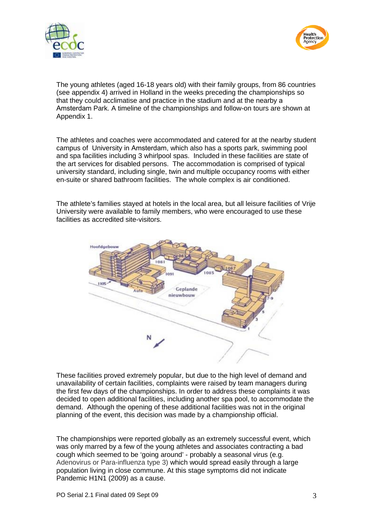



The young athletes (aged 16-18 years old) with their family groups, from 86 countries (see appendix 4) arrived in Holland in the weeks preceding the championships so that they could acclimatise and practice in the stadium and at the nearby a Amsterdam Park. A timeline of the championships and follow-on tours are shown at Appendix 1.

The athletes and coaches were accommodated and catered for at the nearby student campus of University in Amsterdam, which also has a sports park, swimming pool and spa facilities including 3 whirlpool spas. Included in these facilities are state of the art services for disabled persons. The accommodation is comprised of typical university standard, including single, twin and multiple occupancy rooms with either en-suite or shared bathroom facilities. The whole complex is air conditioned.

The athlete's families stayed at hotels in the local area, but all leisure facilities of Vrije University were available to family members, who were encouraged to use these facilities as accredited site-visitors.



These facilities proved extremely popular, but due to the high level of demand and unavailability of certain facilities, complaints were raised by team managers during the first few days of the championships. In order to address these complaints it was decided to open additional facilities, including another spa pool, to accommodate the demand. Although the opening of these additional facilities was not in the original planning of the event, this decision was made by a championship official.

The championships were reported globally as an extremely successful event, which was only marred by a few of the young athletes and associates contracting a bad cough which seemed to be 'going around' - probably a seasonal virus (e.g. Adenovirus or Para-influenza type 3) which would spread easily through a large population living in close commune. At this stage symptoms did not indicate Pandemic H1N1 (2009) as a cause.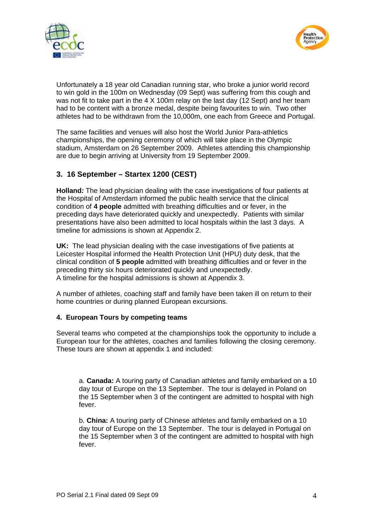



Unfortunately a 18 year old Canadian running star, who broke a junior world record to win gold in the 100m on Wednesday (09 Sept) was suffering from this cough and was not fit to take part in the 4 X 100m relay on the last day (12 Sept) and her team had to be content with a bronze medal, despite being favourites to win. Two other athletes had to be withdrawn from the 10,000m, one each from Greece and Portugal.

The same facilities and venues will also host the World Junior Para-athletics championships, the opening ceremony of which will take place in the Olympic stadium, Amsterdam on 26 September 2009. Athletes attending this championship are due to begin arriving at University from 19 September 2009.

# **3. 16 September – Startex 1200 (CEST)**

**Holland***:* The lead physician dealing with the case investigations of four patients at the Hospital of Amsterdam informed the public health service that the clinical condition of **4 people** admitted with breathing difficulties and or fever, in the preceding days have deteriorated quickly and unexpectedly. Patients with similar presentations have also been admitted to local hospitals within the last 3 days. A timeline for admissions is shown at Appendix 2.

**UK:** The lead physician dealing with the case investigations of five patients at Leicester Hospital informed the Health Protection Unit (HPU) duty desk, that the clinical condition of **5 people** admitted with breathing difficulties and or fever in the preceding thirty six hours deteriorated quickly and unexpectedly. A timeline for the hospital admissions is shown at Appendix 3.

A number of athletes, coaching staff and family have been taken ill on return to their home countries or during planned European excursions.

#### **4. European Tours by competing teams**

Several teams who competed at the championships took the opportunity to include a European tour for the athletes, coaches and families following the closing ceremony. These tours are shown at appendix 1 and included:

a. **Canada:** A touring party of Canadian athletes and family embarked on a 10 day tour of Europe on the 13 September. The tour is delayed in Poland on the 15 September when 3 of the contingent are admitted to hospital with high fever.

b. **China:** A touring party of Chinese athletes and family embarked on a 10 day tour of Europe on the 13 September. The tour is delayed in Portugal on the 15 September when 3 of the contingent are admitted to hospital with high fever.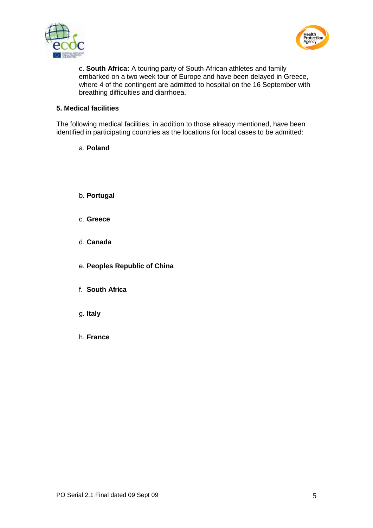



c. **South Africa:** A touring party of South African athletes and family embarked on a two week tour of Europe and have been delayed in Greece, where 4 of the contingent are admitted to hospital on the 16 September with breathing difficulties and diarrhoea.

#### **5. Medical facilities**

The following medical facilities, in addition to those already mentioned, have been identified in participating countries as the locations for local cases to be admitted:

a. **Poland**

- b. **Portugal**
- c. **Greece**
- d. **Canada**
- e. **Peoples Republic of China**
- f. **South Africa**
- g. **Italy**
- h. **France**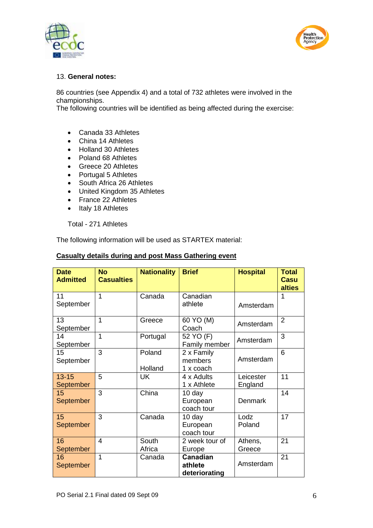



#### 13. **General notes:**

86 countries (see Appendix 4) and a total of 732 athletes were involved in the championships.

The following countries will be identified as being affected during the exercise:

- Canada 33 Athletes
- China 14 Athletes
- Holland 30 Athletes
- Poland 68 Athletes
- Greece 20 Athletes
- Portugal 5 Athletes
- South Africa 26 Athletes
- United Kingdom 35 Athletes
- France 22 Athletes
- Italy 18 Athletes

Total - 271 Athletes

The following information will be used as STARTEX material:

| <b>Date</b><br><b>Admitted</b> | <b>No</b><br><b>Casualties</b> | <b>Nationality</b> | <b>Brief</b>                         | <b>Hospital</b>      | <b>Total</b><br>Casu<br>alties |
|--------------------------------|--------------------------------|--------------------|--------------------------------------|----------------------|--------------------------------|
| 11<br>September                | 1                              | Canada             | Canadian<br>athlete                  | Amsterdam            | 1                              |
| 13<br>September                | 1                              | Greece             | 60 YO (M)<br>Coach                   | Amsterdam            | $\overline{2}$                 |
| 14<br>September                | 1                              | Portugal           | 52 YO (F)<br>Family member           | Amsterdam            | 3                              |
| 15<br>September                | 3                              | Poland<br>Holland  | 2 x Family<br>members<br>1 x coach   | Amsterdam            | 6                              |
| $13 - 15$<br><b>September</b>  | 5                              | UK                 | 4 x Adults<br>1 x Athlete            | Leicester<br>England | 11                             |
| 15<br><b>September</b>         | 3                              | China              | 10 day<br>European<br>coach tour     | <b>Denmark</b>       | 14                             |
| 15<br>September                | 3                              | Canada             | 10 day<br>European<br>coach tour     | Lodz<br>Poland       | 17                             |
| 16<br>September                | $\overline{4}$                 | South<br>Africa    | 2 week tour of<br>Europe             | Athens,<br>Greece    | 21                             |
| 16<br>September                | 1                              | Canada             | Canadian<br>athlete<br>deteriorating | Amsterdam            | 21                             |

#### **Casualty details during and post Mass Gathering event**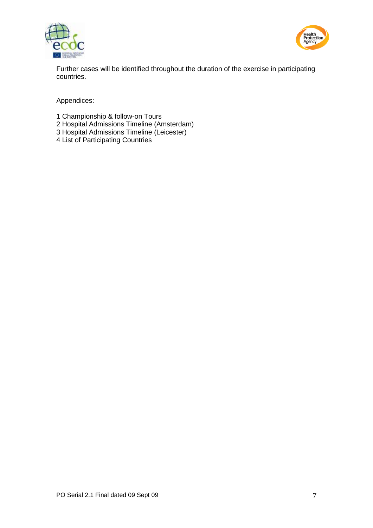



Further cases will be identified throughout the duration of the exercise in participating countries.

Appendices:

- 1 Championship & follow-on Tours
- 2 Hospital Admissions Timeline (Amsterdam)
- 3 Hospital Admissions Timeline (Leicester)
- 4 List of Participating Countries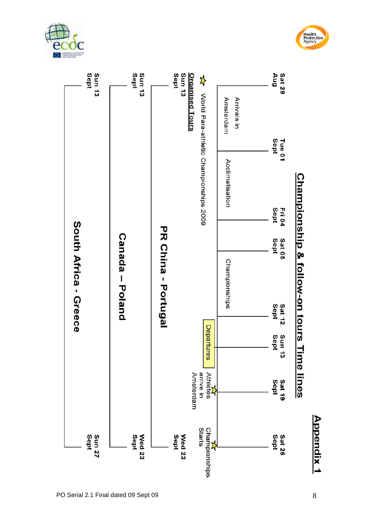





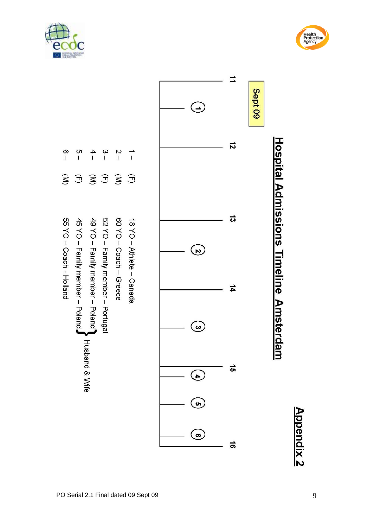







 $\frac{1}{2}$ 

 $\widehat{\mathbf{S}}$ 

55 YO - Coach - Holland

 $\frac{c}{1}$ 

 $\widehat{\mathcal{L}}$ 

 $\frac{4}{1}$  $\frac{2}{1}$ 

 $\widehat{\mathbf{S}}$ 

49 YO - Family member - Poland

**Husband & Wife** 

45 YO - Family member - Poland,

**Appendix 2**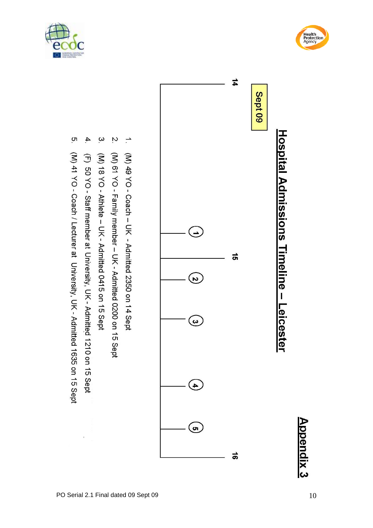





- $\overline{\phantom{a}}$ (M) 49 YO - Coach - UK - Admitted 2350 on 14 Sept
- $\mathcal{L}$ (N) 61 YO - Family member - Admitted 0200 on 15 Sept
- $\tilde{\mathbf{c}}$ (N) 18 YO - Athlete - UK - Admitted 0415 on 15 Sept
- $\blacktriangle$ (F) 50 YO - Staff member at University, UK - Admitted 1210 on 15 Sept
- <u>ុ</u>ហ (M) 41 YO - Coach / Lecturer at University, UK - Admitted 1635 on 15 Sept